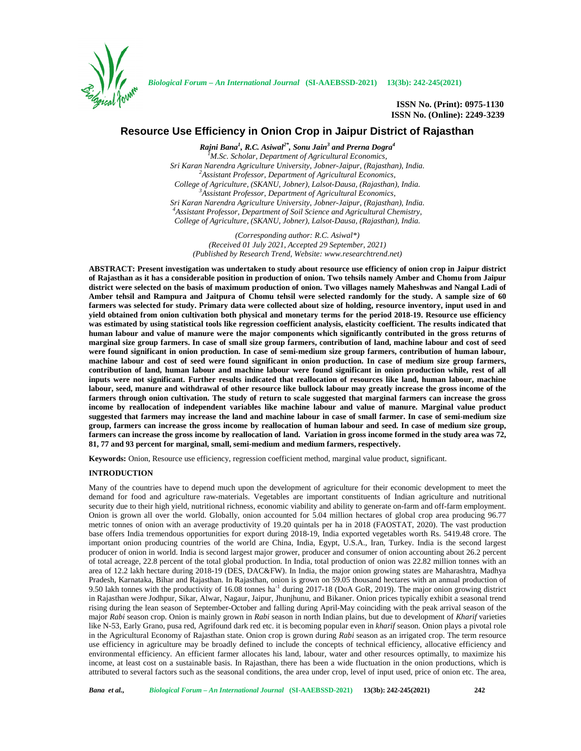

**ISSN No. (Print): 0975-1130 ISSN No. (Online): 2249-3239**

# **Resource Use Efficiency in Onion Crop in Jaipur District of Rajasthan**

*Rajni Bana<sup>1</sup> , R.C. Asiwal2\* , Sonu Jain<sup>3</sup> and Prerna Dogra<sup>4</sup> <sup>1</sup>M.Sc. Scholar, Department of Agricultural Economics, Sri Karan Narendra Agriculture University, Jobner-Jaipur, (Rajasthan), India. <sup>2</sup>Assistant Professor, Department of Agricultural Economics, College of Agriculture, (SKANU, Jobner), Lalsot-Dausa, (Rajasthan), India. <sup>3</sup>Assistant Professor, Department of Agricultural Economics, Sri Karan Narendra Agriculture University, Jobner-Jaipur, (Rajasthan), India. <sup>4</sup>Assistant Professor, Department of Soil Science and Agricultural Chemistry, College of Agriculture, (SKANU, Jobner), Lalsot-Dausa, (Rajasthan), India.*

*(Corresponding author: R.C. Asiwal\*) (Received 01 July 2021, Accepted 29 September, 2021) (Published by Research Trend, Website: <www.researchtrend.net>)*

**ABSTRACT: Present investigation was undertaken to study about resource use efficiency of onion crop in Jaipur district of Rajasthan as it has a considerable position in production of onion. Two tehsils namely Amber and Chomu from Jaipur district were selected on the basis of maximum production of onion. Two villages namely Maheshwas and Nangal Ladi of Amber tehsil and Rampura and Jaitpura of Chomu tehsil were selected randomly for the study. A sample size of 60 farmers was selected for study. Primary data were collected about size of holding, resource inventory, input used in and yield obtained from onion cultivation both physical and monetary terms for the period 2018-19. Resource use efficiency was estimated by using statistical tools like regression coefficient analysis, elasticity coefficient. The results indicated that human labour and value of manure were the major components which significantly contributed in the gross returns of marginal size group farmers. In case of small size group farmers, contribution of land, machine labour and cost of seed were found significant in onion production. In case of semi-medium size group farmers, contribution of human labour, machine labour and cost of seed were found significant in onion production. In case of medium size group farmers, contribution of land, human labour and machine labour were found significant in onion production while, rest of all inputs were not significant. Further results indicated that reallocation of resources like land, human labour, machine labour, seed, manure and withdrawal of other resource like bullock labour may greatly increase the gross income of the farmers through onion cultivation. The study of return to scale suggested that marginal farmers can increase the gross income by reallocation of independent variables like machine labour and value of manure. Marginal value product suggested that farmers may increase the land and machine labour in case of small farmer. In case of semi-medium size group, farmers can increase the gross income by reallocation of human labour and seed. In case of medium size group, farmers can increase the gross income by reallocation of land. Variation in gross income formed in the study area was 72, 81, 77 and 93 percent for marginal, small, semi-medium and medium farmers, respectively.**

**Keywords:** Onion, Resource use efficiency, regression coefficient method, marginal value product, significant.

## **INTRODUCTION**

Many of the countries have to depend much upon the development of agriculture for their economic development to meet the demand for food and agriculture raw-materials. Vegetables are important constituents of Indian agriculture and nutritional security due to their high yield, nutritional richness, economic viability and ability to generate on-farm and off-farm employment. Onion is grown all over the world. Globally, onion accounted for 5.04 million hectares of global crop area producing 96.77 metric tonnes of onion with an average productivity of 19.20 quintals per ha in 2018 (FAOSTAT, 2020). The vast production base offers India tremendous opportunities for export during 2018-19, India exported vegetables worth Rs. 5419.48 crore. The important onion producing countries of the world are China, India, Egypt, U.S.A., Iran, Turkey. India is the second largest producer of onion in world. India is second largest major grower, producer and consumer of onion accounting about 26.2 percent of total acreage, 22.8 percent of the total global production. In India, total production of onion was 22.82 million tonnes with an area of 12.2 lakh hectare during 2018-19 (DES, DAC&FW). In India, the major onion growing states are Maharashtra, Madhya Pradesh, Karnataka, Bihar and Rajasthan. In Rajasthan, onion is grown on 59.05 thousand hectares with an annual production of 9.50 lakh tonnes with the productivity of 16.08 tonnes ha-1 during 2017-18 (DoA GoR, 2019). The major onion growing district in Rajasthan were Jodhpur, Sikar, Alwar, Nagaur, Jaipur, Jhunjhunu, and Bikaner. Onion prices typically exhibit a seasonal trend rising during the lean season of September-October and falling during April-May coinciding with the peak arrival season of the major *Rabi* season crop. Onion is mainly grown in *Rabi* season in north Indian plains, but due to development of *Kharif* varieties like N-53, Early Grano, pusa red, Agrifound dark red etc. it is becoming popular even in *kharif* season. Onion plays a pivotal role in the Agricultural Economy of Rajasthan state. Onion crop is grown during *Rabi* season as an irrigated crop. The term resource use efficiency in agriculture may be broadly defined to include the concepts of technical efficiency, allocative efficiency and environmental efficiency. An efficient farmer allocates his land, labour, water and other resources optimally, to maximize his income, at least cost on a sustainable basis. In Rajasthan, there has been a wide fluctuation in the onion productions, which is attributed to several factors such as the seasonal conditions, the area under crop, level of input used, price of onion etc. The area,

*Bana et al., Biological Forum – An International Journal* **(SI-AAEBSSD-2021) 13(3b): 242-245(2021) 242**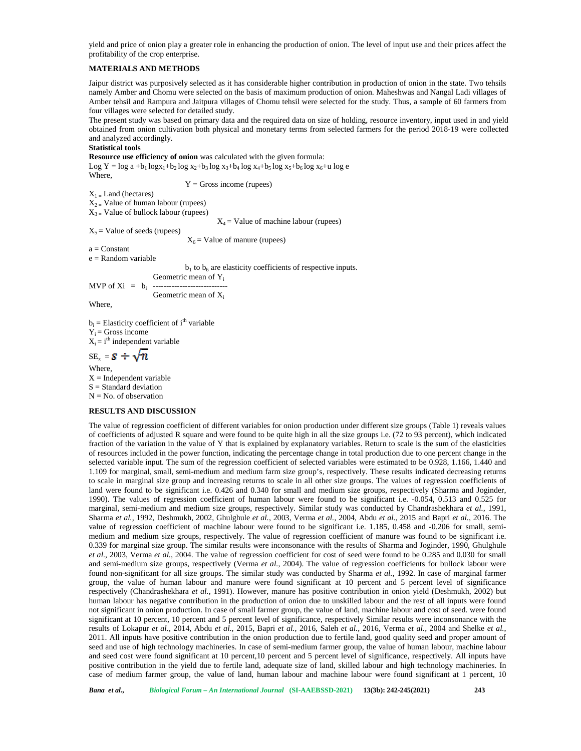yield and price of onion play a greater role in enhancing the production of onion. The level of input use and their prices affect the profitability of the crop enterprise.

# **MATERIALS AND METHODS**

Jaipur district was purposively selected as it has considerable higher contribution in production of onion in the state. Two tehsils namely Amber and Chomu were selected on the basis of maximum production of onion. Maheshwas and Nangal Ladi villages of Amber tehsil and Rampura and Jaitpura villages of Chomu tehsil were selected for the study. Thus, a sample of 60 farmers from four villages were selected for detailed study.

The present study was based on primary data and the required data on size of holding, resource inventory, input used in and yield obtained from onion cultivation both physical and monetary terms from selected farmers for the period 2018-19 were collected and analyzed accordingly.

## **Statistical tools**

**Resource use efficiency of onion** was calculated with the given formula:

Log Y =  $\log a + b_1 \log x_1 + b_2 \log x_2 + b_3 \log x_3 + b_4 \log x_4 + b_5 \log x_5 + b_6 \log x_6 + u \log e$ **Where** 

 $Y =$  Gross income (rupees)

 $X_1 =$  Land (hectares)

 $X_{2}$  Value of human labour (rupees)

 $X_{3}$  = Value of bullock labour (rupees)

 $X_4$  = Value of machine labour (rupees)

 $X_5$  = Value of seeds (rupees)

 $X_6$  = Value of manure (rupees)

 $a = Constant$ 

 $e =$ Random variable

 $b_1$  to  $b_6$  are elasticity coefficients of respective inputs.

Geometric mean of Y<sub>i</sub>  $MVP$  of  $Xi = b_i$ 

Geometric mean of  $X_i$ 

Where,

 $b_i$  = Elasticity coefficient of i<sup>th</sup> variable  $Y_i$  = Gross income  $X_i = i$ <sup>th</sup> independent variable  $SE_x = S \div \sqrt{n}$ 

Where,  $X =$ Independent variable  $S =$  Standard deviation  $N = No$ . of observation

## **RESULTS AND DISCUSSION**

The value of regression coefficient of different variables for onion production under different size groups (Table 1) reveals values of coefficients of adjusted R square and were found to be quite high in all the size groups i.e. (72 to 93 percent), which indicated fraction of the variation in the value of Y that is explained by explanatory variables. Return to scale is the sum of the elasticities of resources included in the power function, indicating the percentage change in total production due to one percent change in the selected variable input. The sum of the regression coefficient of selected variables were estimated to be 0.928, 1.166, 1.440 and 1.109 for marginal, small, semi-medium and medium farm size group's, respectively. These results indicated decreasing returns to scale in marginal size group and increasing returns to scale in all other size groups. The values of regression coefficients of land were found to be significant i.e. 0.426 and 0.340 for small and medium size groups, respectively (Sharma and Joginder, 1990). The values of regression coefficient of human labour were found to be significant i.e. -0.054, 0.513 and 0.525 for marginal, semi-medium and medium size groups, respectively. Similar study was conducted by Chandrashekhara *et al.,* 1991, Sharma *et al.,* 1992, Deshmukh, 2002, Ghulghule *et al.*, 2003, Verma *et al.*, 2004, Abdu *et al.*, 2015 and Bapri *et al.*, 2016. The value of regression coefficient of machine labour were found to be significant i.e. 1.185, 0.458 and -0.206 for small, semi medium and medium size groups, respectively. The value of regression coefficient of manure was found to be significant i.e. 0.339 for marginal size group. The similar results were inconsonance with the results of Sharma and Joginder, 1990, Ghulghule *et al.*, 2003, Verma *et al.*, 2004. The value of regression coefficient for cost of seed were found to be 0.285 and 0.030 for small and semi-medium size groups, respectively (Verma *et al.*, 2004). The value of regression coefficients for bullock labour were found non-significant for all size groups. The similar study was conducted by Sharma *et al.,* 1992. In case of marginal farmer group, the value of human labour and manure were found significant at 10 percent and 5 percent level of significance respectively (Chandrashekhara *et al.*, 1991). However, manure has positive contribution in onion yield (Deshmukh, 2002) but human labour has negative contribution in the production of onion due to unskilled labour and the rest of all inputs were found not significant in onion production. In case of small farmer group, the value of land, machine labour and cost of seed. were found significant at 10 percent, 10 percent and 5 percent level of significance, respectively Similar results were inconsonance with the results of Lokapur *et al.*, 2014, Abdu *et al.*, 2015, Bapri *et al.*, 2016, Saleh *et al.*, 2016, Verma *et al.*, 2004 and Shelke *et al.*, 2011. All inputs have positive contribution in the onion production due to fertile land, good quality seed and proper amount of seed and use of high technology machineries. In case of semi-medium farmer group, the value of human labour, machine labour and seed cost were found significant at 10 percent,10 percent and 5 percent level of significance, respectively. All inputs have positive contribution in the yield due to fertile land, adequate size of land, skilled labour and high technology machineries. In case of medium farmer group, the value of land, human labour and machine labour were found significant at 1 percent, 10

*Bana et al., Biological Forum – An International Journal* **(SI-AAEBSSD-2021) 13(3b): 242-245(2021) 243**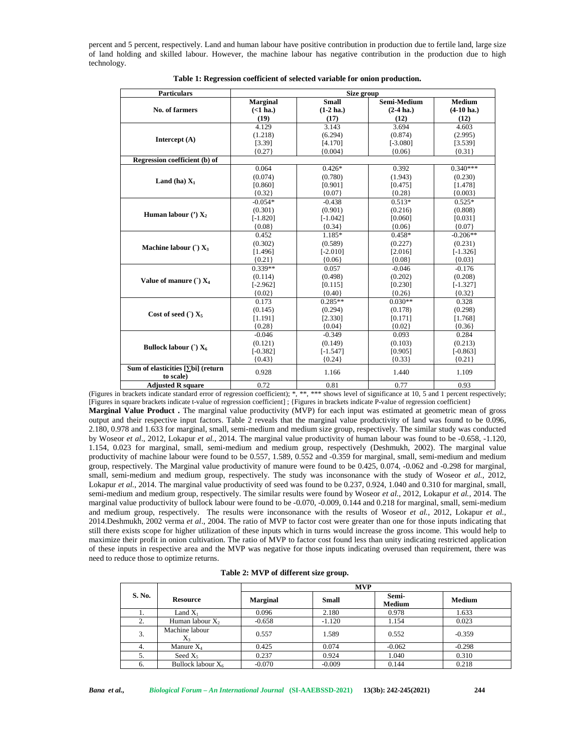percent and 5 percent, respectively. Land and human labour have positive contribution in production due to fertile land, large size of land holding and skilled labour. However, the machine labour has negative contribution in the production due to high technology.

| <b>Particulars</b>                             | Size group                  |                              |                             |                                       |  |  |
|------------------------------------------------|-----------------------------|------------------------------|-----------------------------|---------------------------------------|--|--|
| No. of farmers                                 | <b>Marginal</b><br>(<1 ha.) | <b>Small</b><br>$(1-2)$ ha.) | Semi-Medium<br>$(2-4)$ ha.) | <b>Medium</b><br>$(4-10 \text{ ha.})$ |  |  |
|                                                | (19)                        | (17)                         | (12)                        | (12)                                  |  |  |
| Intercept $(A)$                                | 4.129                       | 3.143                        | 3.694                       | 4.603                                 |  |  |
|                                                | (1.218)                     | (6.294)                      | (0.874)                     | (2.995)                               |  |  |
|                                                | [3.39]                      | [4.170]                      | $[-3.080]$                  | [3.539]                               |  |  |
|                                                | ${0.27}$                    | ${0.004}$                    | ${0.06}$                    | ${0.31}$                              |  |  |
| Regression coefficient (b) of                  |                             |                              |                             |                                       |  |  |
|                                                | 0.064                       | $0.426*$                     | 0.392                       | $0.340***$                            |  |  |
|                                                | (0.074)                     | (0.780)                      | (1.943)                     | (0.230)                               |  |  |
| Land (ha) $X_1$                                | [0.860]                     | [0.901]                      | [0.475]                     | [1.478]                               |  |  |
|                                                | ${0.32}$                    | ${0.07}$                     | ${0.28}$                    | ${0.003}$                             |  |  |
|                                                | $-0.054*$                   | $-0.438$                     | $0.513*$                    | $0.525*$                              |  |  |
| Human labour $(')$ $X_2$                       | (0.301)                     | (0.901)                      | (0.216)                     | (0.808)                               |  |  |
|                                                | $[-1.820]$                  | $[-1.042]$                   | [0.060]                     | [0.031]                               |  |  |
|                                                | ${0.08}$                    | ${0.34}$                     | ${0.06}$                    | ${0.07}$                              |  |  |
| Machine labour $\cap X_3$                      | 0.452                       | $1.185*$                     | $0.458*$                    | $-0.206**$                            |  |  |
|                                                | (0.302)                     | (0.589)                      | (0.227)                     | (0.231)                               |  |  |
|                                                | [1.496]                     | $[-2.010]$                   | [2.016]                     | $[-1.326]$                            |  |  |
|                                                | ${0.21}$                    | ${0.06}$                     | ${0.08}$                    | ${0.03}$                              |  |  |
|                                                | $0.339**$                   | 0.057                        | $-0.046$                    | $-0.176$                              |  |  |
|                                                | (0.114)                     | (0.498)                      | (0.202)                     | (0.208)                               |  |  |
| Value of manure $\cap$ X <sub>4</sub>          | $[-2.962]$                  | [0.115]                      | [0.230]                     | $[-1.327]$                            |  |  |
|                                                | ${0.02}$                    | ${0.40}$                     | ${0.26}$                    | ${0.32}$                              |  |  |
|                                                | 0.173                       | $0.285**$                    | $0.030**$                   | 0.328                                 |  |  |
| Cost of seed $\cap X_5$                        | (0.145)                     | (0.294)                      | (0.178)                     | (0.298)                               |  |  |
|                                                | [1.191]                     | [2.330]                      | [0.171]                     | [1.768]                               |  |  |
|                                                | ${0.28}$                    | ${0.04}$                     | ${0.02}$                    | ${0.36}$                              |  |  |
|                                                | $-0.046$                    | $-0.349$                     | 0.093                       | 0.284                                 |  |  |
|                                                | (0.121)                     | (0.149)                      | (0.103)                     | (0.213)                               |  |  |
| Bullock labour $\cap X_6$                      | $[-0.382]$                  | $[-1.547]$                   | [0.905]                     | $[-0.863]$                            |  |  |
|                                                | ${0.43}$                    | ${0.24}$                     | ${0.33}$                    | ${0.21}$                              |  |  |
| Sum of elasticities [ bi] (return<br>to scale) | 0.928                       | 1.166                        | 1.440                       | 1.109                                 |  |  |
| <b>Adjusted R square</b>                       | 0.72                        | 0.81                         | 0.77                        | 0.93                                  |  |  |

**Table 1: Regression coefficient of selected variable for onion production.**

(Figures in brackets indicate standard error of regression coefficient); \*, \*\*, \*\*\* shows level of significance at 10, 5 and 1 percent respectively; [Figures in square brackets indicate t-value of regression coefficient] ;{Figures in brackets indicate P-value of regression coefficient}

**Marginal Value Product .**The marginal value productivity (MVP) for each input was estimated at geometric mean of gross output and their respective input factors. Table 2 reveals that the marginal value productivity of land was found to be 0.096, 2.180, 0.978 and 1.633 for marginal, small, semi-medium and medium size group, respectively. The similar study was conducted by Woseor *et al*., 2012, Lokapur *et al.*, 2014. The marginal value productivity of human labour was found to be -0.658, -1.120, 1.154, 0.023 for marginal, small, semi-medium and medium group, respectively (Deshmukh, 2002). The marginal value productivity of machine labour were found to be 0.557, 1.589, 0.552 and -0.359 for marginal, small, semi-medium and medium group, respectively. The Marginal value productivity of manure were found to be 0.425, 0.074, -0.062 and -0.298 for marginal, small, semi-medium and medium group, respectively. The study was inconsonance with the study of Woseor *et al.*, 2012, Lokapur *et al.*, 2014. The marginal value productivity of seed was found to be 0.237, 0.924, 1.040 and 0.310 for marginal, small, semi-medium and medium group, respectively. The similar results were found by Woseor *et al.*, 2012, Lokapur *et al.*, 2014. The marginal value productivity of bullock labour were found to be -0.070, -0.009, 0.144 and 0.218 for marginal, small, semi-medium and medium group, respectively. The results were inconsonance with the results of Woseor *et al.*, 2012, Lokapur *et al.*, 2014.Deshmukh, 2002 verma *et al*., 2004. The ratio of MVP to factor cost were greater than one for those inputs indicating that still there exists scope for higher utilization of these inputs which in turns would increase the gross income. This would help to maximize their profit in onion cultivation. The ratio of MVP to factor cost found less than unity indicating restricted application of these inputs in respective area and the MVP was negative for those inputs indicating overused than requirement, there was need to reduce those to optimize returns.

|        |                             | <b>MVP</b>      |              |                        |               |  |  |
|--------|-----------------------------|-----------------|--------------|------------------------|---------------|--|--|
| S. No. | <b>Resource</b>             | <b>Marginal</b> | <b>Small</b> | Semi-<br><b>Medium</b> | <b>Medium</b> |  |  |
|        | Land $X_1$                  | 0.096           | 2.180        | 0.978                  | 1.633         |  |  |
| 2.     | Human labour X <sub>2</sub> | $-0.658$        | $-1.120$     | 1.154                  | 0.023         |  |  |
| 3.     | Machine labour<br>$X_3$     | 0.557           | 1.589        | 0.552                  | $-0.359$      |  |  |
| 4.     | Manure $X_4$                | 0.425           | 0.074        | $-0.062$               | $-0.298$      |  |  |
| 5.     | Seed $X_5$                  | 0.237           | 0.924        | 1.040                  | 0.310         |  |  |
| 6.     | Bullock labour $X_6$        | $-0.070$        | $-0.009$     | 0.144                  | 0.218         |  |  |